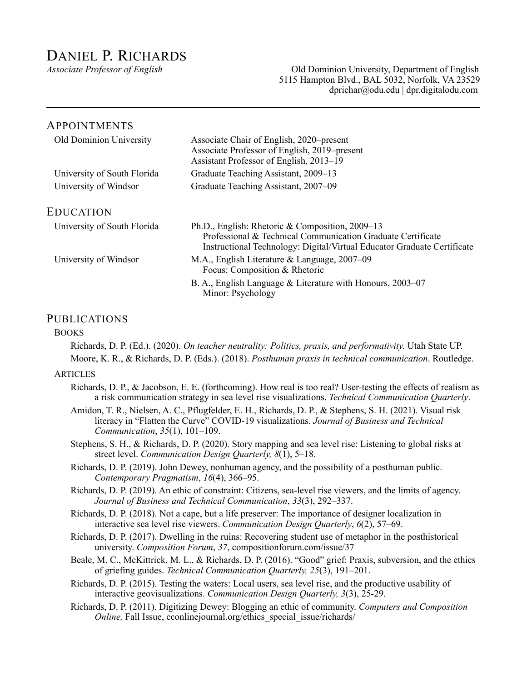# DANIEL P. RICHARDS

*Associate Professor of English* Old Dominion University, Department of English 5115 Hampton Blvd., BAL 5032, Norfolk, VA 23529 dprichar@odu.edu | dpr.digitalodu.com

| <b>APPOINTMENTS</b>            |                                                                                                                                                                                             |  |
|--------------------------------|---------------------------------------------------------------------------------------------------------------------------------------------------------------------------------------------|--|
| <b>Old Dominion University</b> | Associate Chair of English, 2020–present<br>Associate Professor of English, 2019–present<br>Assistant Professor of English, 2013–19                                                         |  |
| University of South Florida    | Graduate Teaching Assistant, 2009–13                                                                                                                                                        |  |
| University of Windsor          | Graduate Teaching Assistant, 2007–09                                                                                                                                                        |  |
| <b>EDUCATION</b>               |                                                                                                                                                                                             |  |
| University of South Florida    | Ph.D., English: Rhetoric & Composition, $2009-13$<br>Professional & Technical Communication Graduate Certificate<br>Instructional Technology: Digital/Virtual Educator Graduate Certificate |  |
| University of Windsor          | M.A., English Literature & Language, 2007–09<br>Focus: Composition & Rhetoric                                                                                                               |  |
|                                | B. A., English Language & Literature with Honours, 2003–07<br>Minor: Psychology                                                                                                             |  |

# PUBLICATIONS

## BOOKS

Richards, D. P. (Ed.). (2020). *On teacher neutrality: Politics, praxis, and performativity.* Utah State UP. Moore, K. R., & Richards, D. P. (Eds.). (2018). *Posthuman praxis in technical communication*. Routledge.

## **ARTICLES**

- Richards, D. P., & Jacobson, E. E. (forthcoming). How real is too real? User-testing the effects of realism as a risk communication strategy in sea level rise visualizations. *Technical Communication Quarterly*.
- Amidon, T. R., Nielsen, A. C., Pflugfelder, E. H., Richards, D. P., & Stephens, S. H. (2021). Visual risk literacy in "Flatten the Curve" COVID-19 visualizations. *Journal of Business and Technical Communication*, *35*(1), 101–109.
- Stephens, S. H., & Richards, D. P. (2020). Story mapping and sea level rise: Listening to global risks at street level. *Communication Design Quarterly, 8*(1), 5–18.
- Richards, D. P. (2019). John Dewey, nonhuman agency, and the possibility of a posthuman public. *Contemporary Pragmatism*, *16*(4), 366–95.
- Richards, D. P. (2019). An ethic of constraint: Citizens, sea-level rise viewers, and the limits of agency. *Journal of Business and Technical Communication*, *33*(3), 292–337.
- Richards, D. P. (2018). Not a cape, but a life preserver: The importance of designer localization in interactive sea level rise viewers. *Communication Design Quarterly*, *6*(2), 57–69.
- Richards, D. P. (2017). Dwelling in the ruins: Recovering student use of metaphor in the posthistorical university. *Composition Forum*, *37*, compositionforum.com/issue/37
- Beale, M. C., McKittrick, M. L., & Richards, D. P. (2016). "Good" grief: Praxis, subversion, and the ethics of griefing guides. *Technical Communication Quarterly, 25*(3), 191–201.
- Richards, D. P. (2015). Testing the waters: Local users, sea level rise, and the productive usability of interactive geovisualizations. *Communication Design Quarterly, 3*(3), 25-29.
- Richards, D. P. (2011). Digitizing Dewey: Blogging an ethic of community. *Computers and Composition Online*, Fall Issue, cconlinejournal.org/ethics\_special\_issue/richards/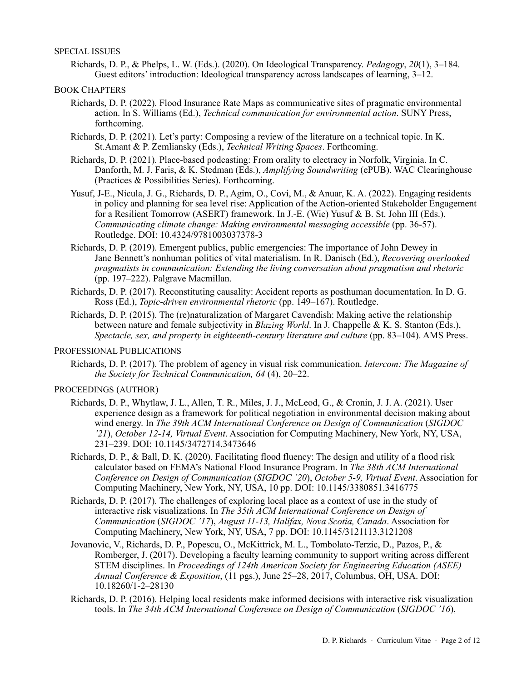#### SPECIAL ISSUES

Richards, D. P., & Phelps, L. W. (Eds.). (2020). On Ideological Transparency. *Pedagogy*, *20*(1), 3–184. Guest editors' introduction: Ideological transparency across landscapes of learning, 3–12.

### BOOK CHAPTERS

- Richards, D. P. (2022). Flood Insurance Rate Maps as communicative sites of pragmatic environmental action. In S. Williams (Ed.), *Technical communication for environmental action*. SUNY Press, forthcoming.
- Richards, D. P. (2021). Let's party: Composing a review of the literature on a technical topic. In K. St.Amant & P. Zemliansky (Eds.), *Technical Writing Spaces*. Forthcoming.
- Richards, D. P. (2021). Place-based podcasting: From orality to electracy in Norfolk, Virginia. In C. Danforth, M. J. Faris, & K. Stedman (Eds.), *Amplifying Soundwriting* (ePUB). WAC Clearinghouse (Practices & Possibilities Series). Forthcoming.
- Yusuf, J-E., Nicula, J. G., Richards, D. P., Agim, O., Covi, M., & Anuar, K. A. (2022). Engaging residents in policy and planning for sea level rise: Application of the Action-oriented Stakeholder Engagement for a Resilient Tomorrow (ASERT) framework. In J.-E. (Wie) Yusuf & B. St. John III (Eds.), *Communicating climate change: Making environmental messaging accessible* (pp. 36-57). Routledge. DOI: 10.4324/9781003037378-3
- Richards, D. P. (2019). Emergent publics, public emergencies: The importance of John Dewey in Jane Bennett's nonhuman politics of vital materialism. In R. Danisch (Ed.), *Recovering overlooked pragmatists in communication: Extending the living conversation about pragmatism and rhetoric*  (pp. 197–222). Palgrave Macmillan.
- Richards, D. P. (2017). Reconstituting causality: Accident reports as posthuman documentation. In D. G. Ross (Ed.), *Topic-driven environmental rhetoric* (pp. 149–167). Routledge.
- Richards, D. P. (2015). The (re)naturalization of Margaret Cavendish: Making active the relationship between nature and female subjectivity in *Blazing World*. In J. Chappelle & K. S. Stanton (Eds.), *Spectacle, sex, and property in eighteenth-century literature and culture* (pp. 83–104). AMS Press.

# PROFESSIONAL PUBLICATIONS

Richards, D. P. (2017). The problem of agency in visual risk communication. *Intercom: The Magazine of the Society for Technical Communication, 64* (4), 20–22.

## PROCEEDINGS (AUTHOR)

- Richards, D. P., Whytlaw, J. L., Allen, T. R., Miles, J. J., McLeod, G., & Cronin, J. J. A. (2021). User experience design as a framework for political negotiation in environmental decision making about wind energy. In *The 39th ACM International Conference on Design of Communication* (*SIGDOC '21*), *October 12-14, Virtual Event*. Association for Computing Machinery, New York, NY, USA, 231–239. DOI: 10.1145/3472714.3473646
- Richards, D. P., & Ball, D. K. (2020). Facilitating flood fluency: The design and utility of a flood risk calculator based on FEMA's National Flood Insurance Program. In *The 38th ACM International Conference on Design of Communication* (*SIGDOC '20*), *October 5-9, Virtual Event*. Association for Computing Machinery, New York, NY, USA, 10 pp. DOI: 10.1145/3380851.3416775
- Richards, D. P. (2017). The challenges of exploring local place as a context of use in the study of interactive risk visualizations. In *The 35th ACM International Conference on Design of Communication* (*SIGDOC '17*), *August 11-13, Halifax, Nova Scotia, Canada*. Association for Computing Machinery, New York, NY, USA, 7 pp. DOI: 10.1145/3121113.3121208
- Jovanovic, V., Richards, D. P., Popescu, O., McKittrick, M. L., Tombolato-Terzic, D., Pazos, P., & Romberger, J. (2017). Developing a faculty learning community to support writing across different STEM disciplines. In *Proceedings of 124th American Society for Engineering Education (ASEE) Annual Conference & Exposition*, (11 pgs.), June 25–28, 2017, Columbus, OH, USA. DOI: 10.18260/1-2–28130
- Richards, D. P. (2016). Helping local residents make informed decisions with interactive risk visualization tools. In *The 34th ACM International Conference on Design of Communication* (*SIGDOC '16*),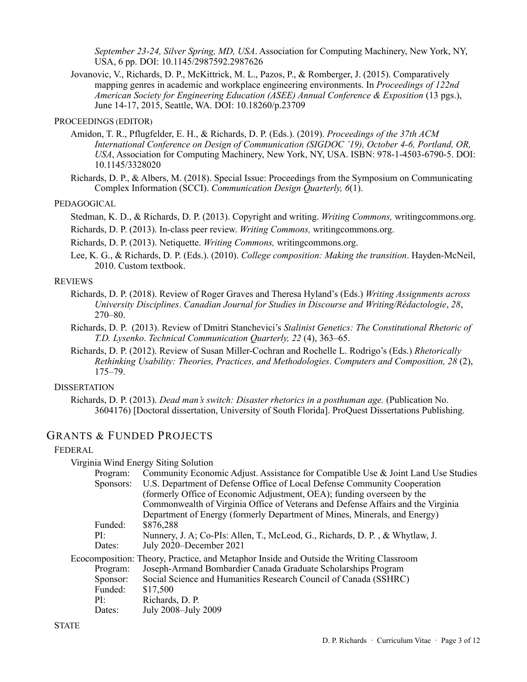*September 23-24, Silver Spring, MD, USA*. Association for Computing Machinery, New York, NY, USA, 6 pp. DOI: 10.1145/2987592.2987626

Jovanovic, V., Richards, D. P., McKittrick, M. L., Pazos, P., & Romberger, J. (2015). Comparatively mapping genres in academic and workplace engineering environments. In *Proceedings of 122nd American Society for Engineering Education (ASEE) Annual Conference & Exposition* (13 pgs.), June 14-17, 2015, Seattle, WA. DOI: 10.18260/p.23709

### PROCEEDINGS (EDITOR)

- Amidon, T. R., Pflugfelder, E. H., & Richards, D. P. (Eds.). (2019). *Proceedings of the 37th ACM International Conference on Design of Communication (SIGDOC '19), October 4-6, Portland, OR, USA*, Association for Computing Machinery, New York, NY, USA. ISBN: 978-1-4503-6790-5. DOI: 10.1145/3328020
- Richards, D. P., & Albers, M. (2018). Special Issue: Proceedings from the Symposium on Communicating Complex Information (SCCI). *Communication Design Quarterly, 6*(1).

#### PEDAGOGICAL

Stedman, K. D., & Richards, D. P. (2013). Copyright and writing. *Writing Commons,* writingcommons.org.

Richards, D. P. (2013). In-class peer review. *Writing Commons,* writingcommons.org.

Richards, D. P. (2013). Netiquette. *Writing Commons,* writingcommons.org.

Lee, K. G., & Richards, D. P. (Eds.). (2010). *College composition: Making the transition*. Hayden-McNeil, 2010. Custom textbook.

# REVIEWS

- Richards, D. P. (2018). Review of Roger Graves and Theresa Hyland's (Eds.) *Writing Assignments across University Disciplines*. *Canadian Journal for Studies in Discourse and Writing/Rédactologie*, *28*, 270–80.
- Richards, D. P. (2013). Review of Dmitri Stanchevici's *Stalinist Genetics: The Constitutional Rhetoric of T.D. Lysenko*. *Technical Communication Quarterly, 22* (4), 363–65.
- Richards, D. P. (2012). Review of Susan Miller-Cochran and Rochelle L. Rodrigo's (Eds.) *Rhetorically Rethinking Usability: Theories, Practices, and Methodologies*. *Computers and Composition, 28* (2), 175–79.

### **DISSERTATION**

Richards, D. P. (2013). *Dead man's switch: Disaster rhetorics in a posthuman age.* (Publication No. 3604176) [Doctoral dissertation, University of South Florida]. ProQuest Dissertations Publishing.

# GRANTS & FUNDED PROJECTS

#### FEDERAL

#### Virginia Wind Energy Siting Solution

|                                                                                         | Program:  | Community Economic Adjust. Assistance for Compatible Use & Joint Land Use Studies |
|-----------------------------------------------------------------------------------------|-----------|-----------------------------------------------------------------------------------|
|                                                                                         | Sponsors: | U.S. Department of Defense Office of Local Defense Community Cooperation          |
|                                                                                         |           | (formerly Office of Economic Adjustment, OEA); funding overseen by the            |
|                                                                                         |           | Commonwealth of Virginia Office of Veterans and Defense Affairs and the Virginia  |
|                                                                                         |           | Department of Energy (formerly Department of Mines, Minerals, and Energy)         |
|                                                                                         | Funded:   | \$876,288                                                                         |
|                                                                                         | PI:       | Nunnery, J. A; Co-PIs: Allen, T., McLeod, G., Richards, D. P., & Whytlaw, J.      |
|                                                                                         | Dates:    | July 2020–December 2021                                                           |
| Ecocomposition: Theory, Practice, and Metaphor Inside and Outside the Writing Classroom |           |                                                                                   |
|                                                                                         | Program:  | Joseph-Armand Bombardier Canada Graduate Scholarships Program                     |
|                                                                                         | Sponsor:  | Social Science and Humanities Research Council of Canada (SSHRC)                  |
|                                                                                         | Funded:   | \$17,500                                                                          |
|                                                                                         | PI:       | Richards, D. P.                                                                   |
|                                                                                         | Dates:    | July 2008-July 2009                                                               |
|                                                                                         |           |                                                                                   |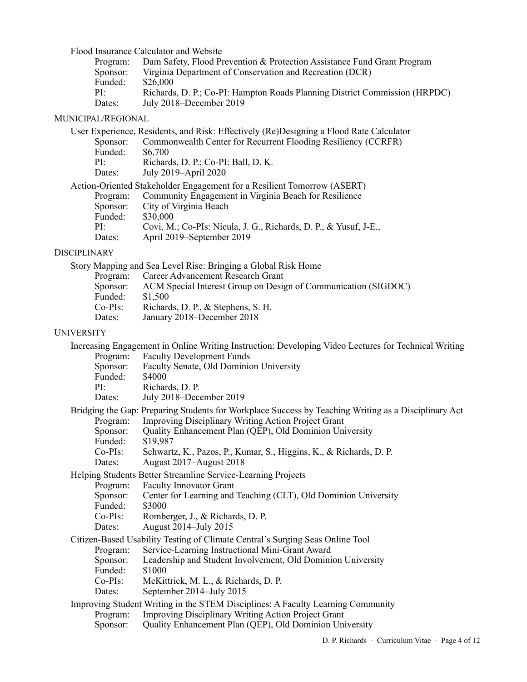Flood Insurance Calculator and Website

| Program: | Dam Safety, Flood Prevention & Protection Assistance Fund Grant Program    |
|----------|----------------------------------------------------------------------------|
| Sponsor: | Virginia Department of Conservation and Recreation (DCR)                   |
| Funded:  | \$26,000                                                                   |
| $PI^+$   | Richards, D. P.; Co-PI: Hampton Roads Planning District Commission (HRPDC) |
| Dates:   | July 2018–December 2019                                                    |

### MUNICIPAL/REGIONAL

|          | User Experience, Residents, and Risk: Effectively (Re)Designing a Flood Rate Calculator |
|----------|-----------------------------------------------------------------------------------------|
| Sponsor: | Commonwealth Center for Recurrent Flooding Resiliency (CCRFR)                           |
| Funded:  | \$6,700                                                                                 |
| $PI^+$   | Richards, D. P.; Co-PI: Ball, D. K.                                                     |
| Dates:   | July 2019–April 2020                                                                    |
|          | Action-Oriented Stakeholder Engagement for a Resilient Tomorrow (ASERT)                 |
| Program: | Community Engagement in Virginia Beach for Resilience                                   |
| Sponsor: | City of Virginia Beach                                                                  |
| Funded:  | \$30,000                                                                                |
| PI:      | Covi, M.; Co-PIs: Nicula, J. G., Richards, D. P., & Yusuf, J-E.,                        |

Dates: April 2019–September 2019

#### **DISCIPLINARY**

|            | Story Mapping and Sea Level Rise: Bringing a Global Risk Home  |
|------------|----------------------------------------------------------------|
| Program:   | Career Advancement Research Grant                              |
| Sponsor:   | ACM Special Interest Group on Design of Communication (SIGDOC) |
| Funded:    | \$1,500                                                        |
| $Co-PIs$ : | Richards, D. P., & Stephens, S. H.                             |
| Dates:     | January 2018–December 2018                                     |

#### UNIVERSITY

Increasing Engagement in Online Writing Instruction: Developing Video Lectures for Technical Writing Program: Faculty Development Funds

Sponsor: Faculty Senate, Old Dominion University

Funded: \$4000

PI: Richards, D. P.

Dates: July 2018–December 2019

Bridging the Gap: Preparing Students for Workplace Success by Teaching Writing as a Disciplinary Act Program: Improving Disciplinary Writing Action Project Grant<br>Sponsor: Quality Enhancement Plan (QEP), Old Dominion Uni

- Quality Enhancement Plan (QEP), Old Dominion University \$19.987
- Funded:<br>Co-PIs:
	- Schwartz, K., Pazos, P., Kumar, S., Higgins, K., & Richards, D. P.
- Dates: August 2017–August 2018

Helping Students Better Streamline Service-Learning Projects

- Program: Faculty Innovator Grant
- Sponsor: Center for Learning and Teaching (CLT), Old Dominion University
- Funded: \$3000<br>Co-PIs: Rombe
- Romberger, J., & Richards, D. P.
- Dates: August 2014–July 2015

Citizen-Based Usability Testing of Climate Central's Surging Seas Online Tool

- Program: Service-Learning Instructional Mini-Grant Award
- Sponsor: Leadership and Student Involvement, Old Dominion University
- Funded: \$1000
- Co-PIs: McKittrick, M. L., & Richards, D. P.
- Dates: September 2014–July 2015

# Improving Student Writing in the STEM Disciplines: A Faculty Learning Community

- Program: Improving Disciplinary Writing Action Project Grant<br>Sponsor: Quality Enhancement Plan (QEP), Old Dominion Uni
- Quality Enhancement Plan (QEP), Old Dominion University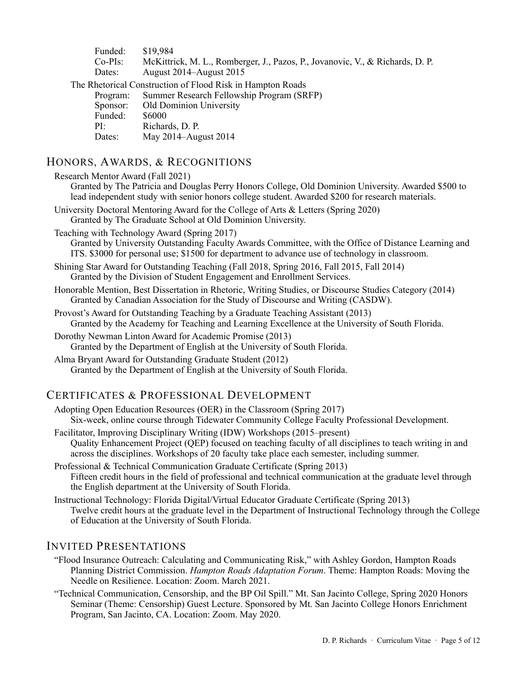|     | Funded:    | \$19,984                                                                      |
|-----|------------|-------------------------------------------------------------------------------|
|     | $Co-PIs$ : | McKittrick, M. L., Romberger, J., Pazos, P., Jovanovic, V., & Richards, D. P. |
|     | Dates:     | August 2014–August 2015                                                       |
|     |            | The Rhetorical Construction of Flood Risk in Hampton Roads                    |
|     | Program:   | Summer Research Fellowship Program (SRFP)                                     |
|     | Sponsor:   | <b>Old Dominion University</b>                                                |
|     | Funded:    | \$6000                                                                        |
| PI: |            | Richards, D. P.                                                               |
|     | Dates:     | May 2014-August 2014                                                          |

# HONORS, AWARDS, & RECOGNITIONS

Research Mentor Award (Fall 2021)

Granted by The Patricia and Douglas Perry Honors College, Old Dominion University. Awarded \$500 to lead independent study with senior honors college student. Awarded \$200 for research materials.

University Doctoral Mentoring Award for the College of Arts & Letters (Spring 2020) Granted by The Graduate School at Old Dominion University.

Teaching with Technology Award (Spring 2017) Granted by University Outstanding Faculty Awards Committee, with the Office of Distance Learning and ITS. \$3000 for personal use; \$1500 for department to advance use of technology in classroom.

- Shining Star Award for Outstanding Teaching (Fall 2018, Spring 2016, Fall 2015, Fall 2014) Granted by the Division of Student Engagement and Enrollment Services.
- Honorable Mention, Best Dissertation in Rhetoric, Writing Studies, or Discourse Studies Category (2014) Granted by Canadian Association for the Study of Discourse and Writing (CASDW).
- Provost's Award for Outstanding Teaching by a Graduate Teaching Assistant (2013) Granted by the Academy for Teaching and Learning Excellence at the University of South Florida.

Dorothy Newman Linton Award for Academic Promise (2013) Granted by the Department of English at the University of South Florida.

Alma Bryant Award for Outstanding Graduate Student (2012) Granted by the Department of English at the University of South Florida.

# CERTIFICATES & PROFESSIONAL DEVELOPMENT

Adopting Open Education Resources (OER) in the Classroom (Spring 2017) Six-week, online course through Tidewater Community College Faculty Professional Development.

Facilitator, Improving Disciplinary Writing (IDW) Workshops (2015–present) Quality Enhancement Project (QEP) focused on teaching faculty of all disciplines to teach writing in and across the disciplines. Workshops of 20 faculty take place each semester, including summer.

Professional & Technical Communication Graduate Certificate (Spring 2013) Fifteen credit hours in the field of professional and technical communication at the graduate level through the English department at the University of South Florida.

Instructional Technology: Florida Digital/Virtual Educator Graduate Certificate (Spring 2013) Twelve credit hours at the graduate level in the Department of Instructional Technology through the College of Education at the University of South Florida.

# INVITED PRESENTATIONS

- "Flood Insurance Outreach: Calculating and Communicating Risk," with Ashley Gordon, Hampton Roads Planning District Commission. *Hampton Roads Adaptation Forum*. Theme: Hampton Roads: Moving the Needle on Resilience. Location: Zoom. March 2021.
- "Technical Communication, Censorship, and the BP Oil Spill." Mt. San Jacinto College, Spring 2020 Honors Seminar (Theme: Censorship) Guest Lecture. Sponsored by Mt. San Jacinto College Honors Enrichment Program, San Jacinto, CA. Location: Zoom. May 2020.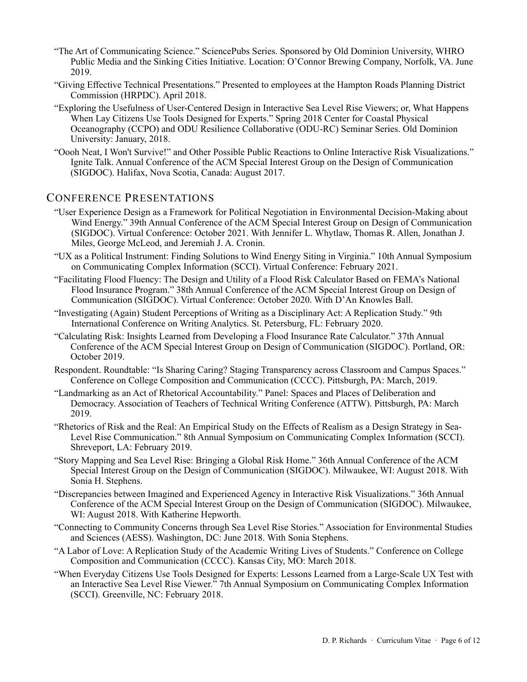- "The Art of Communicating Science." SciencePubs Series. Sponsored by Old Dominion University, WHRO Public Media and the Sinking Cities Initiative. Location: O'Connor Brewing Company, Norfolk, VA. June 2019.
- "Giving Effective Technical Presentations." Presented to employees at the Hampton Roads Planning District Commission (HRPDC). April 2018.
- "Exploring the Usefulness of User-Centered Design in Interactive Sea Level Rise Viewers; or, What Happens When Lay Citizens Use Tools Designed for Experts." Spring 2018 Center for Coastal Physical Oceanography (CCPO) and ODU Resilience Collaborative (ODU-RC) Seminar Series. Old Dominion University: January, 2018.
- "Oooh Neat, I Won't Survive!" and Other Possible Public Reactions to Online Interactive Risk Visualizations." Ignite Talk. Annual Conference of the ACM Special Interest Group on the Design of Communication (SIGDOC). Halifax, Nova Scotia, Canada: August 2017.

# CONFERENCE PRESENTATIONS

- "User Experience Design as a Framework for Political Negotiation in Environmental Decision-Making about Wind Energy." 39th Annual Conference of the ACM Special Interest Group on Design of Communication (SIGDOC). Virtual Conference: October 2021. With Jennifer L. Whytlaw, Thomas R. Allen, Jonathan J. Miles, George McLeod, and Jeremiah J. A. Cronin.
- "UX as a Political Instrument: Finding Solutions to Wind Energy Siting in Virginia." 10th Annual Symposium on Communicating Complex Information (SCCI). Virtual Conference: February 2021.
- "Facilitating Flood Fluency: The Design and Utility of a Flood Risk Calculator Based on FEMA's National Flood Insurance Program." 38th Annual Conference of the ACM Special Interest Group on Design of Communication (SIGDOC). Virtual Conference: October 2020. With D'An Knowles Ball.
- "Investigating (Again) Student Perceptions of Writing as a Disciplinary Act: A Replication Study." 9th International Conference on Writing Analytics. St. Petersburg, FL: February 2020.
- "Calculating Risk: Insights Learned from Developing a Flood Insurance Rate Calculator." 37th Annual Conference of the ACM Special Interest Group on Design of Communication (SIGDOC). Portland, OR: October 2019.
- Respondent. Roundtable: "Is Sharing Caring? Staging Transparency across Classroom and Campus Spaces." Conference on College Composition and Communication (CCCC). Pittsburgh, PA: March, 2019.
- "Landmarking as an Act of Rhetorical Accountability." Panel: Spaces and Places of Deliberation and Democracy. Association of Teachers of Technical Writing Conference (ATTW). Pittsburgh, PA: March 2019.
- "Rhetorics of Risk and the Real: An Empirical Study on the Effects of Realism as a Design Strategy in Sea-Level Rise Communication." 8th Annual Symposium on Communicating Complex Information (SCCI). Shreveport, LA: February 2019.
- "Story Mapping and Sea Level Rise: Bringing a Global Risk Home." 36th Annual Conference of the ACM Special Interest Group on the Design of Communication (SIGDOC). Milwaukee, WI: August 2018. With Sonia H. Stephens.
- "Discrepancies between Imagined and Experienced Agency in Interactive Risk Visualizations." 36th Annual Conference of the ACM Special Interest Group on the Design of Communication (SIGDOC). Milwaukee, WI: August 2018. With Katherine Hepworth.
- "Connecting to Community Concerns through Sea Level Rise Stories." Association for Environmental Studies and Sciences (AESS). Washington, DC: June 2018. With Sonia Stephens.
- "A Labor of Love: A Replication Study of the Academic Writing Lives of Students." Conference on College Composition and Communication (CCCC). Kansas City, MO: March 2018.
- "When Everyday Citizens Use Tools Designed for Experts: Lessons Learned from a Large-Scale UX Test with an Interactive Sea Level Rise Viewer." 7th Annual Symposium on Communicating Complex Information (SCCI). Greenville, NC: February 2018.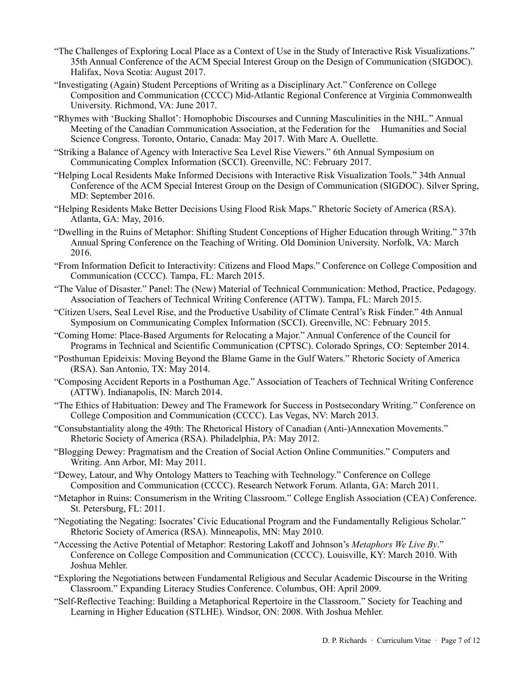- "The Challenges of Exploring Local Place as a Context of Use in the Study of Interactive Risk Visualizations." 35th Annual Conference of the ACM Special Interest Group on the Design of Communication (SIGDOC). Halifax, Nova Scotia: August 2017.
- "Investigating (Again) Student Perceptions of Writing as a Disciplinary Act." Conference on College Composition and Communication (CCCC) Mid-Atlantic Regional Conference at Virginia Commonwealth University. Richmond, VA: June 2017.
- "Rhymes with 'Bucking Shallot': Homophobic Discourses and Cunning Masculinities in the NHL." Annual Meeting of the Canadian Communication Association, at the Federation for the Humanities and Social Science Congress. Toronto, Ontario, Canada: May 2017. With Marc A. Ouellette.
- "Striking a Balance of Agency with Interactive Sea Level Rise Viewers." 6th Annual Symposium on Communicating Complex Information (SCCI). Greenville, NC: February 2017.
- "Helping Local Residents Make Informed Decisions with Interactive Risk Visualization Tools." 34th Annual Conference of the ACM Special Interest Group on the Design of Communication (SIGDOC). Silver Spring, MD: September 2016.
- "Helping Residents Make Better Decisions Using Flood Risk Maps." Rhetoric Society of America (RSA). Atlanta, GA: May, 2016.
- "Dwelling in the Ruins of Metaphor: Shifting Student Conceptions of Higher Education through Writing." 37th Annual Spring Conference on the Teaching of Writing. Old Dominion University. Norfolk, VA: March 2016.
- "From Information Deficit to Interactivity: Citizens and Flood Maps." Conference on College Composition and Communication (CCCC). Tampa, FL: March 2015.
- "The Value of Disaster." Panel: The (New) Material of Technical Communication: Method, Practice, Pedagogy. Association of Teachers of Technical Writing Conference (ATTW). Tampa, FL: March 2015.
- "Citizen Users, Seal Level Rise, and the Productive Usability of Climate Central's Risk Finder." 4th Annual Symposium on Communicating Complex Information (SCCI). Greenville, NC: February 2015.
- "Coming Home: Place-Based Arguments for Relocating a Major." Annual Conference of the Council for Programs in Technical and Scientific Communication (CPTSC). Colorado Springs, CO: September 2014.
- "Posthuman Epideixis: Moving Beyond the Blame Game in the Gulf Waters." Rhetoric Society of America (RSA). San Antonio, TX: May 2014.
- "Composing Accident Reports in a Posthuman Age." Association of Teachers of Technical Writing Conference (ATTW). Indianapolis, IN: March 2014.
- "The Ethics of Habituation: Dewey and The Framework for Success in Postsecondary Writing." Conference on College Composition and Communication (CCCC). Las Vegas, NV: March 2013.
- "Consubstantiality along the 49th: The Rhetorical History of Canadian (Anti-)Annexation Movements." Rhetoric Society of America (RSA). Philadelphia, PA: May 2012.
- "Blogging Dewey: Pragmatism and the Creation of Social Action Online Communities." Computers and Writing. Ann Arbor, MI: May 2011.
- "Dewey, Latour, and Why Ontology Matters to Teaching with Technology." Conference on College Composition and Communication (CCCC). Research Network Forum. Atlanta, GA: March 2011.
- "Metaphor in Ruins: Consumerism in the Writing Classroom." College English Association (CEA) Conference. St. Petersburg, FL: 2011.
- "Negotiating the Negating: Isocrates' Civic Educational Program and the Fundamentally Religious Scholar." Rhetoric Society of America (RSA). Minneapolis, MN: May 2010.
- "Accessing the Active Potential of Metaphor: Restoring Lakoff and Johnson's *Metaphors We Live By*." Conference on College Composition and Communication (CCCC). Louisville, KY: March 2010. With Joshua Mehler.
- "Exploring the Negotiations between Fundamental Religious and Secular Academic Discourse in the Writing Classroom." Expanding Literacy Studies Conference. Columbus, OH: April 2009.
- "Self-Reflective Teaching: Building a Metaphorical Repertoire in the Classroom." Society for Teaching and Learning in Higher Education (STLHE). Windsor, ON: 2008. With Joshua Mehler.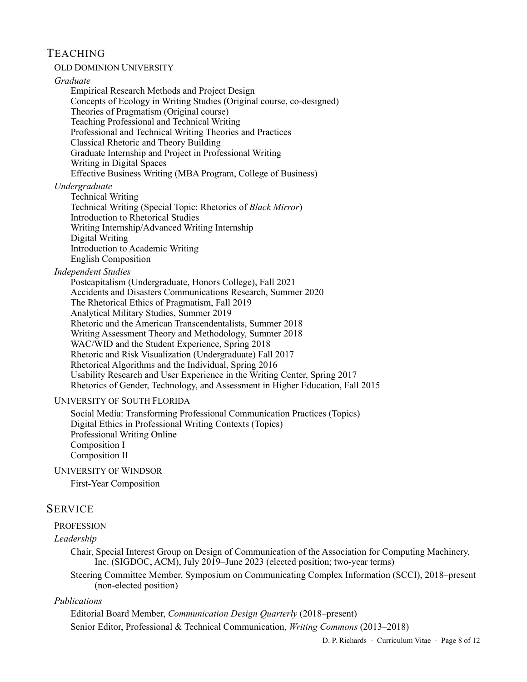# TEACHING

# OLD DOMINION UNIVERSITY

## *Graduate*

Empirical Research Methods and Project Design Concepts of Ecology in Writing Studies (Original course, co-designed) Theories of Pragmatism (Original course) Teaching Professional and Technical Writing Professional and Technical Writing Theories and Practices Classical Rhetoric and Theory Building Graduate Internship and Project in Professional Writing Writing in Digital Spaces Effective Business Writing (MBA Program, College of Business)

# *Undergraduate*

Technical Writing Technical Writing (Special Topic: Rhetorics of *Black Mirror*) Introduction to Rhetorical Studies Writing Internship/Advanced Writing Internship Digital Writing Introduction to Academic Writing English Composition

# *Independent Studies*

Postcapitalism (Undergraduate, Honors College), Fall 2021 Accidents and Disasters Communications Research, Summer 2020 The Rhetorical Ethics of Pragmatism, Fall 2019 Analytical Military Studies, Summer 2019 Rhetoric and the American Transcendentalists, Summer 2018 Writing Assessment Theory and Methodology, Summer 2018 WAC/WID and the Student Experience, Spring 2018 Rhetoric and Risk Visualization (Undergraduate) Fall 2017 Rhetorical Algorithms and the Individual, Spring 2016 Usability Research and User Experience in the Writing Center, Spring 2017 Rhetorics of Gender, Technology, and Assessment in Higher Education, Fall 2015

# UNIVERSITY OF SOUTH FLORIDA

Social Media: Transforming Professional Communication Practices (Topics) Digital Ethics in Professional Writing Contexts (Topics) Professional Writing Online Composition I Composition II

# UNIVERSITY OF WINDSOR

First-Year Composition

# SERVICE

# PROFESSION

# *Leadership*

Chair, Special Interest Group on Design of Communication of the Association for Computing Machinery, Inc. (SIGDOC, ACM), July 2019–June 2023 (elected position; two-year terms)

Steering Committee Member, Symposium on Communicating Complex Information (SCCI), 2018–present (non-elected position)

# *Publications*

Editorial Board Member, *Communication Design Quarterly* (2018–present) Senior Editor, Professional & Technical Communication, *Writing Commons* (2013–2018)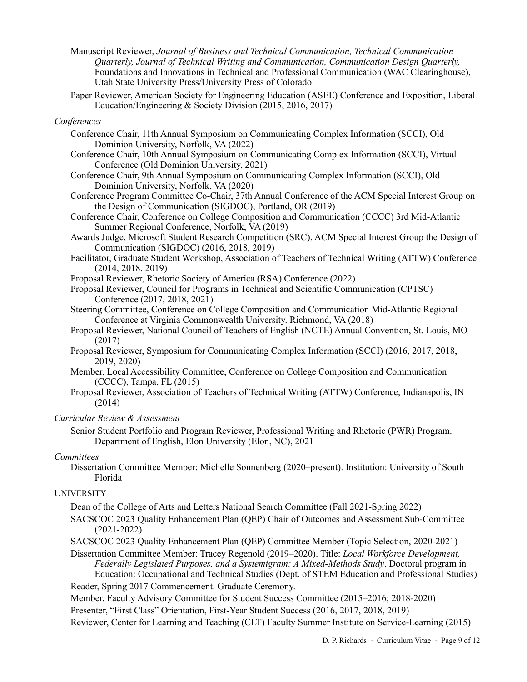- Manuscript Reviewer, *Journal of Business and Technical Communication, Technical Communication Quarterly, Journal of Technical Writing and Communication, Communication Design Quarterly,*  Foundations and Innovations in Technical and Professional Communication (WAC Clearinghouse), Utah State University Press/University Press of Colorado
- Paper Reviewer, American Society for Engineering Education (ASEE) Conference and Exposition, Liberal Education/Engineering & Society Division (2015, 2016, 2017)

### *Conferences*

- Conference Chair, 11th Annual Symposium on Communicating Complex Information (SCCI), Old Dominion University, Norfolk, VA (2022)
- Conference Chair, 10th Annual Symposium on Communicating Complex Information (SCCI), Virtual Conference (Old Dominion University, 2021)
- Conference Chair, 9th Annual Symposium on Communicating Complex Information (SCCI), Old Dominion University, Norfolk, VA (2020)
- Conference Program Committee Co-Chair, 37th Annual Conference of the ACM Special Interest Group on the Design of Communication (SIGDOC), Portland, OR (2019)
- Conference Chair, Conference on College Composition and Communication (CCCC) 3rd Mid-Atlantic Summer Regional Conference, Norfolk, VA (2019)
- Awards Judge, Microsoft Student Research Competition (SRC), ACM Special Interest Group the Design of Communication (SIGDOC) (2016, 2018, 2019)
- Facilitator, Graduate Student Workshop, Association of Teachers of Technical Writing (ATTW) Conference (2014, 2018, 2019)
- Proposal Reviewer, Rhetoric Society of America (RSA) Conference (2022)
- Proposal Reviewer, Council for Programs in Technical and Scientific Communication (CPTSC) Conference (2017, 2018, 2021)
- Steering Committee, Conference on College Composition and Communication Mid-Atlantic Regional Conference at Virginia Commonwealth University. Richmond, VA (2018)
- Proposal Reviewer, National Council of Teachers of English (NCTE) Annual Convention, St. Louis, MO (2017)
- Proposal Reviewer, Symposium for Communicating Complex Information (SCCI) (2016, 2017, 2018, 2019, 2020)
- Member, Local Accessibility Committee, Conference on College Composition and Communication (CCCC), Tampa, FL (2015)
- Proposal Reviewer, Association of Teachers of Technical Writing (ATTW) Conference, Indianapolis, IN (2014)

### *Curricular Review & Assessment*

Senior Student Portfolio and Program Reviewer, Professional Writing and Rhetoric (PWR) Program. Department of English, Elon University (Elon, NC), 2021

#### *Committees*

Dissertation Committee Member: Michelle Sonnenberg (2020–present). Institution: University of South Florida

### UNIVERSITY

- Dean of the College of Arts and Letters National Search Committee (Fall 2021-Spring 2022)
- SACSCOC 2023 Quality Enhancement Plan (QEP) Chair of Outcomes and Assessment Sub-Committee (2021-2022)
- SACSCOC 2023 Quality Enhancement Plan (QEP) Committee Member (Topic Selection, 2020-2021)
- Dissertation Committee Member: Tracey Regenold (2019–2020). Title: *Local Workforce Development, Federally Legislated Purposes, and a Systemigram: A Mixed-Methods Study*. Doctoral program in Education: Occupational and Technical Studies (Dept. of STEM Education and Professional Studies)
- Reader, Spring 2017 Commencement. Graduate Ceremony.
- Member, Faculty Advisory Committee for Student Success Committee (2015–2016; 2018-2020)
- Presenter, "First Class" Orientation, First-Year Student Success (2016, 2017, 2018, 2019)

Reviewer, Center for Learning and Teaching (CLT) Faculty Summer Institute on Service-Learning (2015)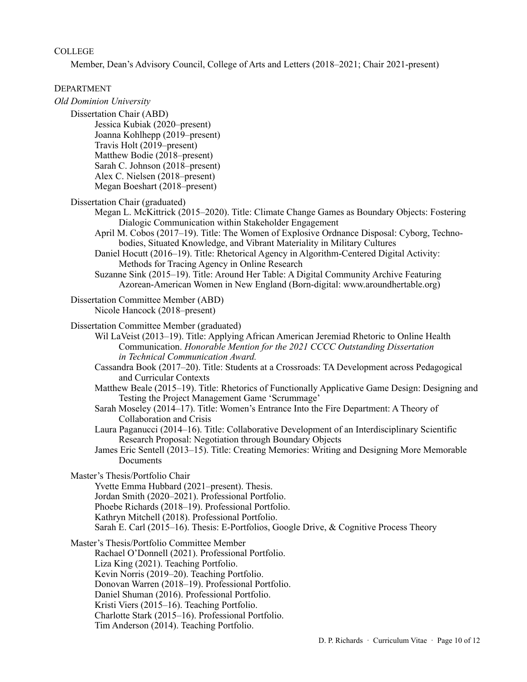### COLLEGE

Member, Dean's Advisory Council, College of Arts and Letters (2018–2021; Chair 2021-present)

#### DEPARTMENT

#### *Old Dominion University*

Dissertation Chair (ABD) Jessica Kubiak (2020–present) Joanna Kohlhepp (2019–present) Travis Holt (2019–present) Matthew Bodie (2018–present) Sarah C. Johnson (2018–present) Alex C. Nielsen (2018–present) Megan Boeshart (2018–present)

- Dissertation Chair (graduated)
	- Megan L. McKittrick (2015–2020). Title: Climate Change Games as Boundary Objects: Fostering Dialogic Communication within Stakeholder Engagement
	- April M. Cobos (2017–19). Title: The Women of Explosive Ordnance Disposal: Cyborg, Technobodies, Situated Knowledge, and Vibrant Materiality in Military Cultures
	- Daniel Hocutt (2016–19). Title: Rhetorical Agency in Algorithm-Centered Digital Activity: Methods for Tracing Agency in Online Research
	- Suzanne Sink (2015–19). Title: Around Her Table: A Digital Community Archive Featuring Azorean-American Women in New England (Born-digital: www.aroundhertable.org)
- Dissertation Committee Member (ABD)

Nicole Hancock (2018–present)

Dissertation Committee Member (graduated)

- Wil LaVeist (2013–19). Title: Applying African American Jeremiad Rhetoric to Online Health Communication. *Honorable Mention for the 2021 CCCC Outstanding Dissertation in Technical Communication Award.*
- Cassandra Book (2017–20). Title: Students at a Crossroads: TA Development across Pedagogical and Curricular Contexts
- Matthew Beale (2015–19). Title: Rhetorics of Functionally Applicative Game Design: Designing and Testing the Project Management Game 'Scrummage'
- Sarah Moseley (2014–17). Title: Women's Entrance Into the Fire Department: A Theory of Collaboration and Crisis
- Laura Paganucci (2014–16). Title: Collaborative Development of an Interdisciplinary Scientific Research Proposal: Negotiation through Boundary Objects

James Eric Sentell (2013–15). Title: Creating Memories: Writing and Designing More Memorable Documents

Master's Thesis/Portfolio Chair

Yvette Emma Hubbard (2021–present). Thesis. Jordan Smith (2020–2021). Professional Portfolio. Phoebe Richards (2018–19). Professional Portfolio. Kathryn Mitchell (2018). Professional Portfolio.

Sarah E. Carl (2015–16). Thesis: E-Portfolios, Google Drive, & Cognitive Process Theory

Master's Thesis/Portfolio Committee Member

Rachael O'Donnell (2021). Professional Portfolio. Liza King (2021). Teaching Portfolio. Kevin Norris (2019–20). Teaching Portfolio. Donovan Warren (2018–19). Professional Portfolio. Daniel Shuman (2016). Professional Portfolio. Kristi Viers (2015–16). Teaching Portfolio. Charlotte Stark (2015–16). Professional Portfolio. Tim Anderson (2014). Teaching Portfolio.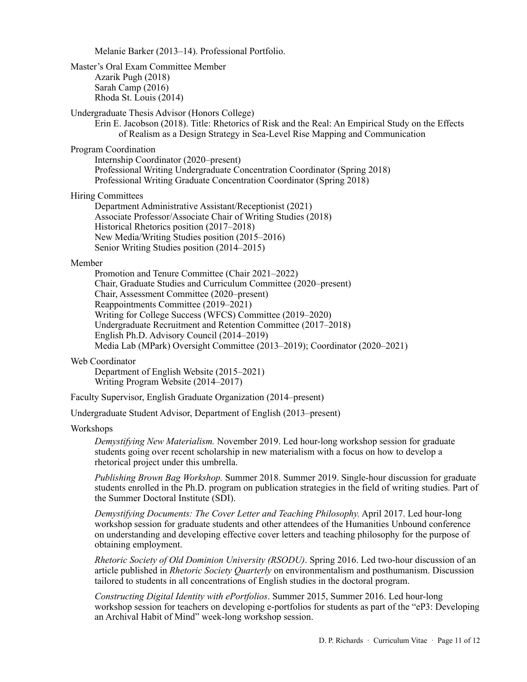Melanie Barker (2013–14). Professional Portfolio.

Master's Oral Exam Committee Member Azarik Pugh (2018) Sarah Camp (2016) Rhoda St. Louis (2014)

### Undergraduate Thesis Advisor (Honors College)

Erin E. Jacobson (2018). Title: Rhetorics of Risk and the Real: An Empirical Study on the Effects of Realism as a Design Strategy in Sea-Level Rise Mapping and Communication

#### Program Coordination

Internship Coordinator (2020–present) Professional Writing Undergraduate Concentration Coordinator (Spring 2018) Professional Writing Graduate Concentration Coordinator (Spring 2018)

Hiring Committees

Department Administrative Assistant/Receptionist (2021) Associate Professor/Associate Chair of Writing Studies (2018) Historical Rhetorics position (2017–2018) New Media/Writing Studies position (2015–2016) Senior Writing Studies position (2014–2015)

#### Member

Promotion and Tenure Committee (Chair 2021–2022) Chair, Graduate Studies and Curriculum Committee (2020–present) Chair, Assessment Committee (2020–present) Reappointments Committee (2019–2021) Writing for College Success (WFCS) Committee (2019–2020) Undergraduate Recruitment and Retention Committee (2017–2018) English Ph.D. Advisory Council (2014–2019) Media Lab (MPark) Oversight Committee (2013–2019); Coordinator (2020–2021)

### Web Coordinator

Department of English Website (2015–2021) Writing Program Website (2014–2017)

Faculty Supervisor, English Graduate Organization (2014–present)

Undergraduate Student Advisor, Department of English (2013–present)

### Workshops

*Demystifying New Materialism.* November 2019. Led hour-long workshop session for graduate students going over recent scholarship in new materialism with a focus on how to develop a rhetorical project under this umbrella.

*Publishing Brown Bag Workshop.* Summer 2018. Summer 2019. Single-hour discussion for graduate students enrolled in the Ph.D. program on publication strategies in the field of writing studies. Part of the Summer Doctoral Institute (SDI).

*Demystifying Documents: The Cover Letter and Teaching Philosophy.* April 2017. Led hour-long workshop session for graduate students and other attendees of the Humanities Unbound conference on understanding and developing effective cover letters and teaching philosophy for the purpose of obtaining employment.

*Rhetoric Society of Old Dominion University (RSODU)*. Spring 2016. Led two-hour discussion of an article published in *Rhetoric Society Quarterly* on environmentalism and posthumanism. Discussion tailored to students in all concentrations of English studies in the doctoral program.

*Constructing Digital Identity with ePortfolios*. Summer 2015, Summer 2016. Led hour-long workshop session for teachers on developing e-portfolios for students as part of the "eP3: Developing an Archival Habit of Mind" week-long workshop session.